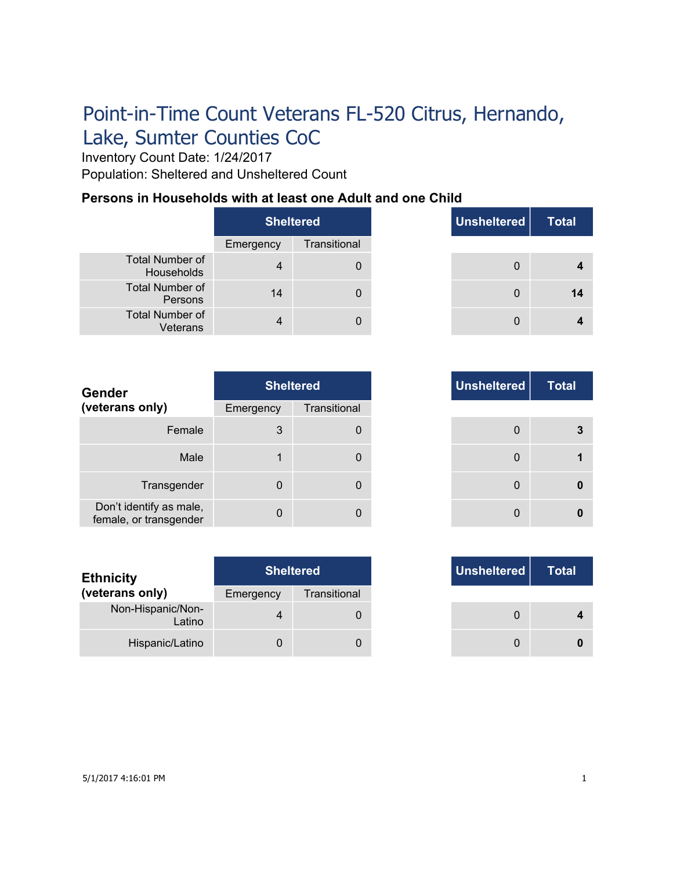# Point-in-Time Count Veterans FL-520 Citrus, Hernando, Lake, Sumter Counties CoC

Inventory Count Date: 1/24/2017 Population: Sheltered and Unsheltered Count

### **Persons in Households with at least one Adult and one Child**

|                                      | Sheltered |              |  |
|--------------------------------------|-----------|--------------|--|
|                                      | Emergency | Transitional |  |
| <b>Total Number of</b><br>Households |           |              |  |
| <b>Total Number of</b><br>Persons    | 14        |              |  |
| <b>Total Number of</b><br>Veterans   |           |              |  |

| <b>Total</b> | Unsheltered | <b>Sheltered</b> |     |
|--------------|-------------|------------------|-----|
|              |             | Transitional     | ٦cγ |
|              | $\Omega$    | 0                | 4   |
|              | $\Omega$    | 0                | 14  |
|              | $\Omega$    | 0                |     |

| <b>Gender</b>                                     |             | <b>Sheltered</b> |
|---------------------------------------------------|-------------|------------------|
| (veterans only)                                   | Emergency   | Transitional     |
| Female                                            | 3           | 0                |
| Male                                              |             | 0                |
| Transgender                                       | $\mathbf 0$ | 0                |
| Don't identify as male,<br>female, or transgender | $\Omega$    |                  |

| <b>Ethnicity</b>            |           | <b>Sheltered</b> | Unsheltered |
|-----------------------------|-----------|------------------|-------------|
| (veterans only)             | Emergency | Transitional     |             |
| Non-Hispanic/Non-<br>Latino | 4         |                  |             |
| Hispanic/Latino             |           |                  |             |

| <b>Sheltered</b> |              |
|------------------|--------------|
| าcy              | Transitional |
| $\mathbf{3}$     | 0            |
| 1                | 0            |
| 0                | 0            |
| 0                | 0            |

|     | <b>Sheltered</b> |
|-----|------------------|
| ٦CV | Transitional     |
|     |                  |
|     |                  |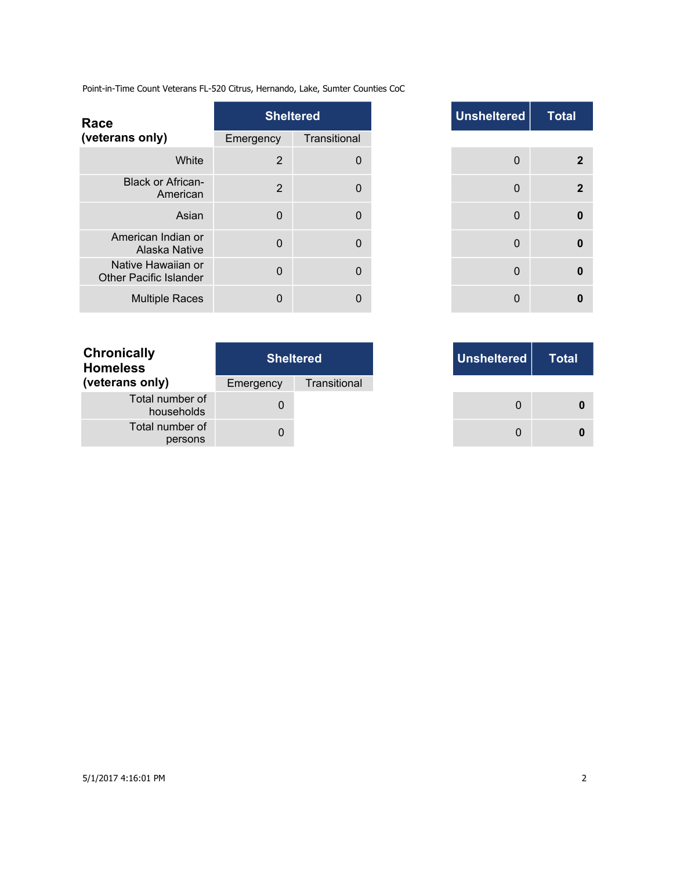Point-in-Time Count Veterans FL-520 Citrus, Hernando, Lake, Sumter Counties CoC

| Race                                                |                | <b>Sheltered</b> | <b>Unsheltered</b> |
|-----------------------------------------------------|----------------|------------------|--------------------|
| (veterans only)                                     | Emergency      | Transitional     |                    |
| White                                               | 2              | $\Omega$         | $\Omega$           |
| <b>Black or African-</b><br>American                | $\overline{2}$ | $\Omega$         | $\Omega$           |
| Asian                                               | $\Omega$       | $\Omega$         | $\mathbf{0}$       |
| American Indian or<br>Alaska Native                 | $\Omega$       | $\mathbf{0}$     | $\Omega$           |
| Native Hawaiian or<br><b>Other Pacific Islander</b> | $\Omega$       | $\Omega$         | $\Omega$           |
| <b>Multiple Races</b>                               | $\Omega$       | 0                | $\Omega$           |

|                | <b>Sheltered</b> |
|----------------|------------------|
| าcy            | Transitional     |
| $\overline{2}$ | $\mathbf 0$      |
| $\overline{2}$ | $\mathbf{0}$     |
| $\mathbf 0$    | 0                |
| $\mathbf{0}$   | $\mathbf 0$      |
| $\mathbf{0}$   | $\mathbf 0$      |
| 0              | 0                |

T.

| <b>Sheltered</b> |              |  |
|------------------|--------------|--|
| Emergency        | Transitional |  |
| $\mathbf{O}$     |              |  |
|                  |              |  |
|                  |              |  |

|     | <b>Sheltered</b> | Unsheltered |
|-----|------------------|-------------|
| ٦CV | Transitional     |             |
| 0   |                  |             |
|     |                  |             |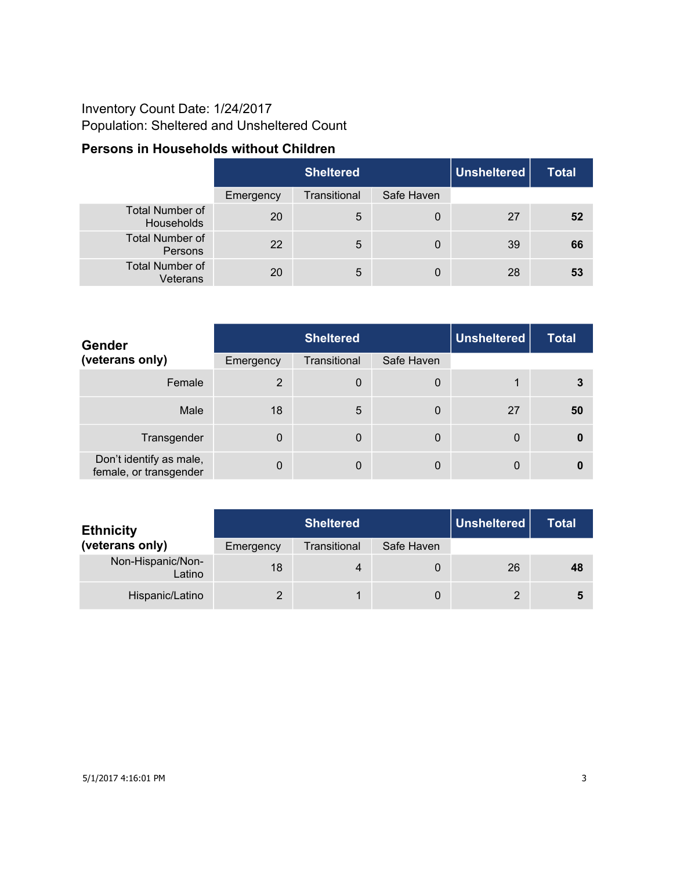## Inventory Count Date: 1/24/2017 Population: Sheltered and Unsheltered Count

### **Persons in Households without Children**

|                                      | <b>Sheltered</b> |              |            | Unsheltered | <b>Total</b> |
|--------------------------------------|------------------|--------------|------------|-------------|--------------|
|                                      | Emergency        | Transitional | Safe Haven |             |              |
| <b>Total Number of</b><br>Households | 20               | 5            | 0          | 27          | 52           |
| <b>Total Number of</b><br>Persons    | 22               | 5            | 0          | 39          | 66           |
| <b>Total Number of</b><br>Veterans   | 20               | 5            | 0          | 28          | 53           |

| Gender                                            | <b>Sheltered</b> |              |            | <b>Unsheltered</b> | <b>Total</b> |
|---------------------------------------------------|------------------|--------------|------------|--------------------|--------------|
| (veterans only)                                   | Emergency        | Transitional | Safe Haven |                    |              |
| Female                                            | 2                | 0            | 0          |                    | 3            |
| Male                                              | 18               | 5            | 0          | 27                 | 50           |
| Transgender                                       | $\Omega$         | 0            | 0          | 0                  | 0            |
| Don't identify as male,<br>female, or transgender | 0                | 0            | 0          | 0                  | 0            |

| <b>Ethnicity</b>            |           | <b>Sheltered</b> |            | Unsheltered | <b>Total</b> |
|-----------------------------|-----------|------------------|------------|-------------|--------------|
| (veterans only)             | Emergency | Transitional     | Safe Haven |             |              |
| Non-Hispanic/Non-<br>Latino | 18        | 4                |            | 26          | 48           |
| Hispanic/Latino             |           |                  | 0          | 2           | 5            |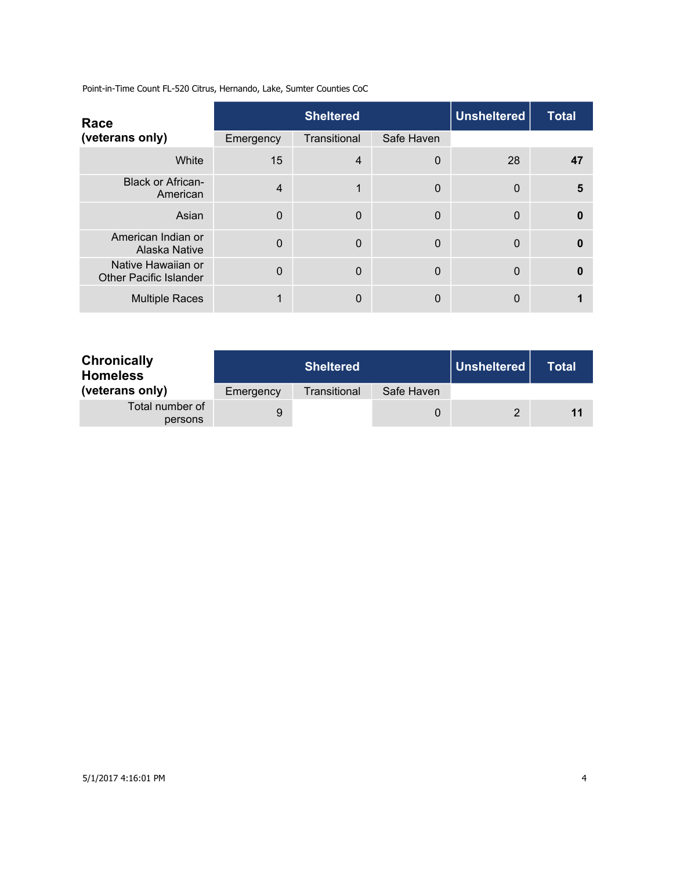Point-in-Time Count FL-520 Citrus, Hernando, Lake, Sumter Counties CoC

| Race                                                |                | <b>Sheltered</b> |            | <b>Unsheltered</b> |              |  |
|-----------------------------------------------------|----------------|------------------|------------|--------------------|--------------|--|
| (veterans only)                                     | Emergency      | Transitional     | Safe Haven |                    |              |  |
| White                                               | 15             | $\overline{4}$   | 0          | 28                 | 47           |  |
| <b>Black or African-</b><br>American                | $\overline{4}$ | 1                | 0          | $\Omega$           | 5            |  |
| Asian                                               | $\mathbf 0$    | $\Omega$         | 0          | $\Omega$           | 0            |  |
| American Indian or<br>Alaska Native                 | $\Omega$       | $\Omega$         | 0          | $\Omega$           | O            |  |
| Native Hawaiian or<br><b>Other Pacific Islander</b> | $\Omega$       | $\Omega$         | 0          | $\Omega$           | $\mathbf{0}$ |  |
| <b>Multiple Races</b>                               |                | $\mathbf{0}$     | 0          | 0                  |              |  |

| <b>Chronically</b><br><b>Homeless</b><br>(veterans only) |           | <b>Sheltered</b> |            | │ Unsheltered <u>│</u><br>Total |    |  |
|----------------------------------------------------------|-----------|------------------|------------|---------------------------------|----|--|
|                                                          | Emergency | Transitional     | Safe Haven |                                 |    |  |
| Total number of<br>persons                               | 9         |                  |            |                                 | 11 |  |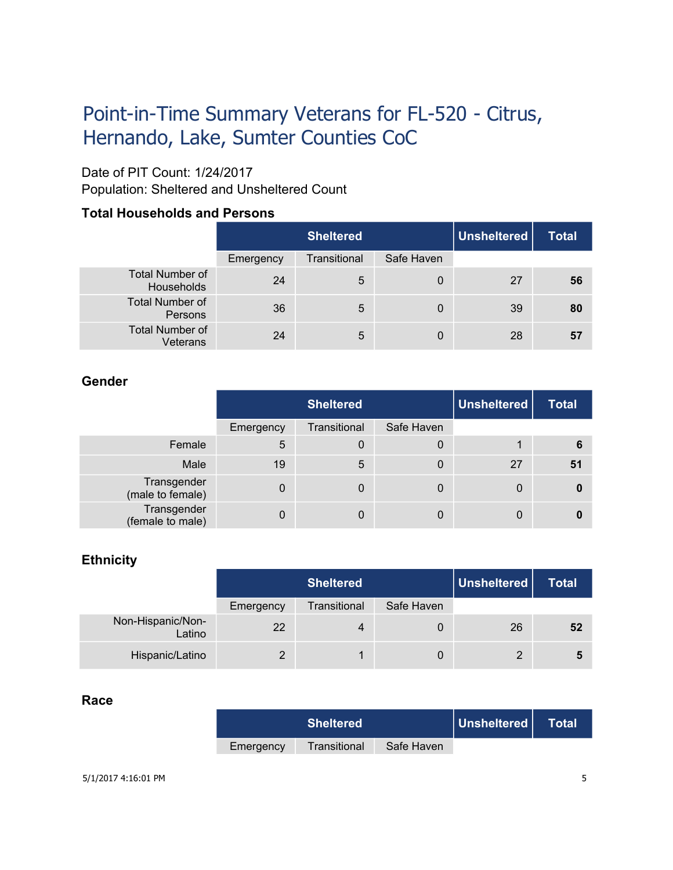# Point-in-Time Summary Veterans for FL-520 - Citrus, Hernando, Lake, Sumter Counties CoC

## Date of PIT Count: 1/24/2017

Population: Sheltered and Unsheltered Count

#### **Total Households and Persons**

|                                      | <b>Sheltered</b> |              |            | <b>Unsheltered</b> | <b>Total</b> |
|--------------------------------------|------------------|--------------|------------|--------------------|--------------|
|                                      | Emergency        | Transitional | Safe Haven |                    |              |
| <b>Total Number of</b><br>Households | 24               | 5            | 0          | 27                 | 56           |
| <b>Total Number of</b><br>Persons    | 36               | 5            | 0          | 39                 | 80           |
| <b>Total Number of</b><br>Veterans   | 24               | 5            | 0          | 28                 | 57           |

#### **Gender**

|                                 | <b>Sheltered</b> |              |            | <b>Unsheltered</b> | <b>Total</b> |
|---------------------------------|------------------|--------------|------------|--------------------|--------------|
|                                 | Emergency        | Transitional | Safe Haven |                    |              |
| Female                          | 5                | 0            | 0          |                    | 6            |
| Male                            | 19               | 5            | 0          | 27                 | 51           |
| Transgender<br>(male to female) | $\mathbf 0$      | 0            | 0          | 0                  | 0            |
| Transgender<br>(female to male) | 0                | 0            | 0          | 0                  |              |

#### **Ethnicity**

|                             | <b>Sheltered</b> |                |            | Unsheltered    | <b>Total</b> |
|-----------------------------|------------------|----------------|------------|----------------|--------------|
|                             | Emergency        | Transitional   | Safe Haven |                |              |
| Non-Hispanic/Non-<br>Latino | 22               | $\overline{4}$ | 0          | 26             | 52           |
| Hispanic/Latino             | $\mathcal{D}$    |                | 0          | $\overline{2}$ | Ð            |

#### **Race**

|           | <b>Sheltered</b> |            | Unsheltered | <b>Total</b> |
|-----------|------------------|------------|-------------|--------------|
| Emergency | Transitional     | Safe Haven |             |              |